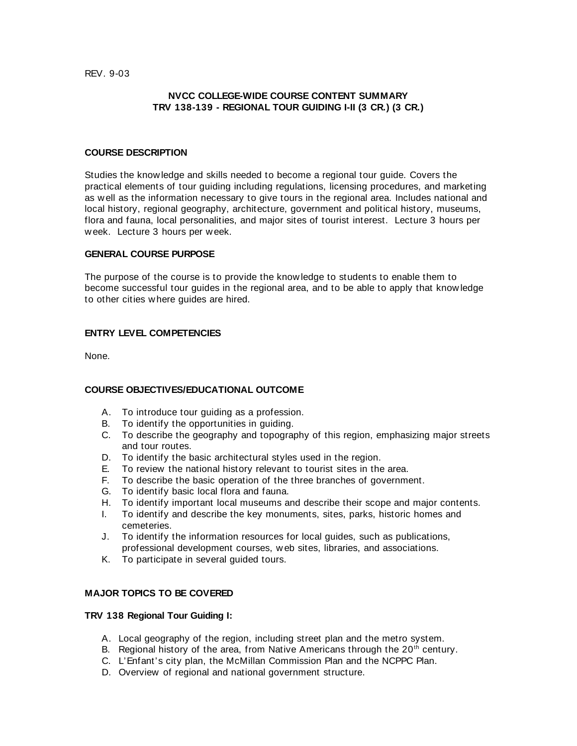# **NVCC COLLEGE-WIDE COURSE CONTENT SUMMARY TRV 138-139 - REGIONAL TOUR GUIDING I-II (3 CR.) (3 CR.)**

#### **COURSE DESCRIPTION**

Studies the know ledge and skills needed to become a regional tour guide. Covers the practical elements of tour guiding including regulations, licensing procedures, and marketing as w ell as the information necessary to give tours in the regional area. Includes national and local history, regional geography, architecture, government and political history, museums, flora and fauna, local personalities, and major sites of tourist interest. Lecture 3 hours per w eek. Lecture 3 hours per w eek.

#### **GENERAL COURSE PURPOSE**

The purpose of the course is to provide the know ledge to students to enable them to become successful tour guides in the regional area, and to be able to apply that know ledge to other cities w here guides are hired.

#### **ENTRY LEVEL COMPETENCIES**

None.

## **COURSE OBJECTIVES/EDUCATIONAL OUTCOME**

- A. To introduce tour guiding as a profession.
- B. To identify the opportunities in guiding.
- C. To describe the geography and topography of this region, emphasizing major streets and tour routes.
- D. To identify the basic architectural styles used in the region.
- E. To review the national history relevant to tourist sites in the area.
- F. To describe the basic operation of the three branches of government.
- G. To identify basic local flora and fauna.
- H. To identify important local museums and describe their scope and major contents.
- I. To identify and describe the key monuments, sites, parks, historic homes and cemeteries.
- J. To identify the information resources for local guides, such as publications, professional development courses, w eb sites, libraries, and associations.
- K. To participate in several guided tours.

# **MAJOR TOPICS TO BE COVERED**

#### **TRV 138 Regional Tour Guiding I:**

- A. Local geography of the region, including street plan and the metro system.
- B. Regional history of the area, from Native Americans through the  $20<sup>th</sup>$  century.
- C. L'Enfant's city plan, the McMillan Commission Plan and the NCPPC Plan.
- D. Overview of regional and national government structure.